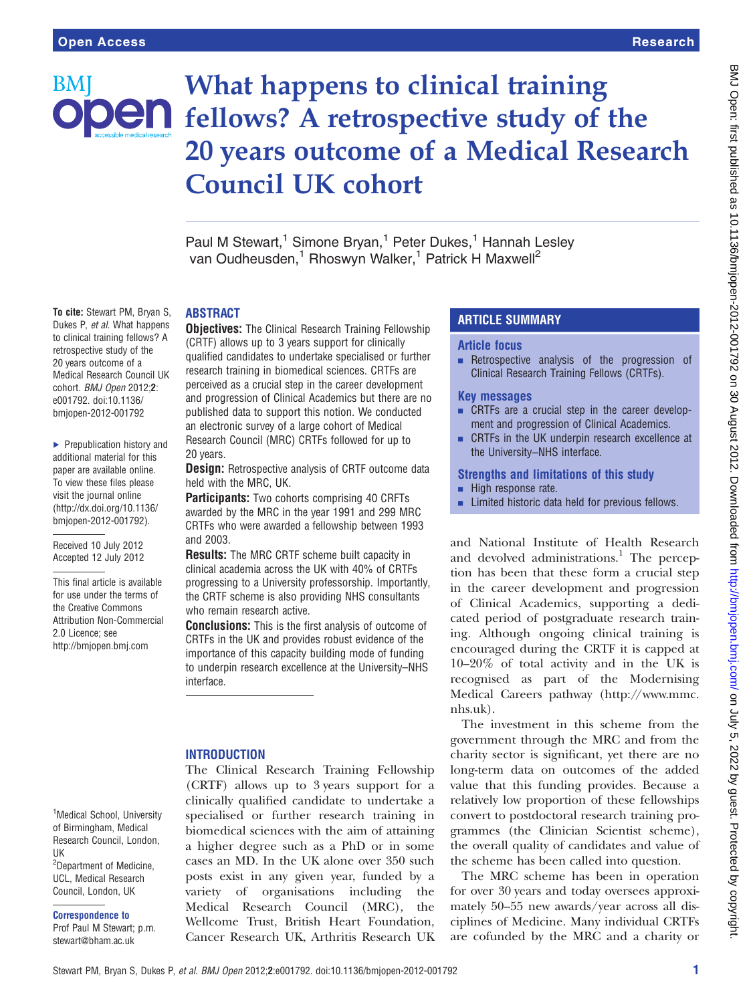BM

# What happens to clinical training **Jen** fellows? A retrospective study of the 20 years outcome of a Medical Research Council UK cohort

Paul M Stewart,<sup>1</sup> Simone Bryan,<sup>1</sup> Peter Dukes,<sup>1</sup> Hannah Lesley van Oudheusden,<sup>1</sup> Rhoswyn Walker,<sup>1</sup> Patrick H Maxwell<sup>2</sup>

#### ABSTRACT

To cite: Stewart PM, Bryan S, Dukes P, et al. What happens to clinical training fellows? A retrospective study of the 20 years outcome of a Medical Research Council UK cohort. BMJ Open 2012:2: e001792. doi:10.1136/ bmjopen-2012-001792

▶ Prepublication history and additional material for this paper are available online. To view these files please visit the journal online [\(http://dx.doi.org/10.1136/](http://dx.doi.org/10.1136/bmjopen-2012-001792) [bmjopen-2012-001792](http://dx.doi.org/10.1136/bmjopen-2012-001792)).

Received 10 July 2012 Accepted 12 July 2012

This final article is available for use under the terms of the Creative Commons Attribution Non-Commercial 2.0 Licence; see <http://bmjopen.bmj.com>

**Objectives:** The Clinical Research Training Fellowship (CRTF) allows up to 3 years support for clinically qualified candidates to undertake specialised or further research training in biomedical sciences. CRTFs are perceived as a crucial step in the career development and progression of Clinical Academics but there are no published data to support this notion. We conducted an electronic survey of a large cohort of Medical Research Council (MRC) CRTFs followed for up to 20 years.

**Design:** Retrospective analysis of CRTF outcome data held with the MRC, UK.

**Participants:** Two cohorts comprising 40 CRFTs awarded by the MRC in the year 1991 and 299 MRC CRTFs who were awarded a fellowship between 1993 and 2003.

Results: The MRC CRTF scheme built capacity in clinical academia across the UK with 40% of CRTFs progressing to a University professorship. Importantly, the CRTF scheme is also providing NHS consultants who remain research active.

Conclusions: This is the first analysis of outcome of CRTFs in the UK and provides robust evidence of the importance of this capacity building mode of funding to underpin research excellence at the University–NHS interface.

#### **INTRODUCTION**

The Clinical Research Training Fellowship (CRTF) allows up to 3 years support for a clinically qualified candidate to undertake a specialised or further research training in biomedical sciences with the aim of attaining a higher degree such as a PhD or in some cases an MD. In the UK alone over 350 such posts exist in any given year, funded by a variety of organisations including the Medical Research Council (MRC), the Wellcome Trust, British Heart Foundation, Cancer Research UK, Arthritis Research UK

# ARTICLE SUMMARY

### Article focus

 $\blacksquare$  Retrospective analysis of the progression of Clinical Research Training Fellows (CRTFs).

#### Key messages

- CRTFs are a crucial step in the career development and progression of Clinical Academics.
- CRTFs in the UK underpin research excellence at the University–NHS interface.

#### Strengths and limitations of this study

- $\blacksquare$  High response rate.
- **EXECUTE:** Limited historic data held for previous fellows.

and National Institute of Health Research and devolved administrations.<sup>1</sup> The perception has been that these form a crucial step in the career development and progression of Clinical Academics, supporting a dedicated period of postgraduate research training. Although ongoing clinical training is encouraged during the CRTF it is capped at 10–20% of total activity and in the UK is recognised as part of the Modernising Medical Careers pathway [\(http://www.mmc.](http://www.mmc.nhs.uk) [nhs.uk](http://www.mmc.nhs.uk)).

The investment in this scheme from the government through the MRC and from the charity sector is significant, yet there are no long-term data on outcomes of the added value that this funding provides. Because a relatively low proportion of these fellowships convert to postdoctoral research training programmes (the Clinician Scientist scheme), the overall quality of candidates and value of the scheme has been called into question.

The MRC scheme has been in operation for over 30 years and today oversees approximately 50–55 new awards/year across all disciplines of Medicine. Many individual CRTFs are cofunded by the MRC and a charity or

<sup>1</sup>Medical School, University of Birmingham, Medical Research Council, London, UK <sup>2</sup>Department of Medicine, UCL, Medical Research Council, London, UK

Correspondence to

Prof Paul M Stewart; p.m. stewart@bham.ac.uk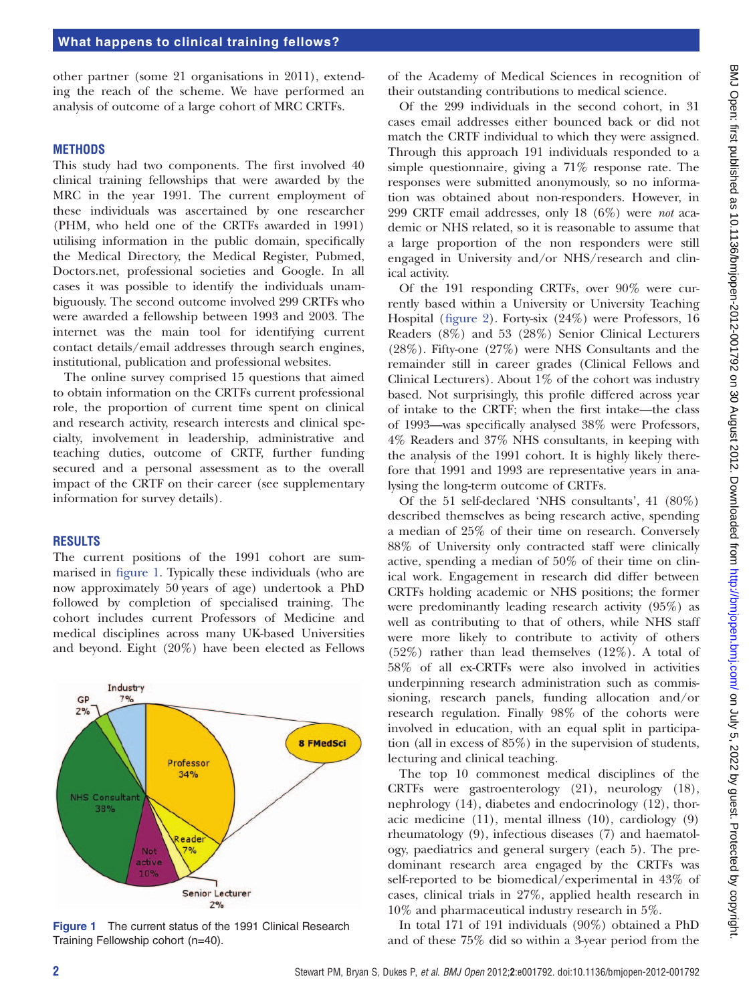other partner (some 21 organisations in 2011), extending the reach of the scheme. We have performed an analysis of outcome of a large cohort of MRC CRTFs.

#### **METHODS**

This study had two components. The first involved 40 clinical training fellowships that were awarded by the MRC in the year 1991. The current employment of these individuals was ascertained by one researcher (PHM, who held one of the CRTFs awarded in 1991) utilising information in the public domain, specifically the Medical Directory, the Medical Register, Pubmed, Doctors.net, professional societies and Google. In all cases it was possible to identify the individuals unambiguously. The second outcome involved 299 CRTFs who were awarded a fellowship between 1993 and 2003. The internet was the main tool for identifying current contact details/email addresses through search engines, institutional, publication and professional websites.

The online survey comprised 15 questions that aimed to obtain information on the CRTFs current professional role, the proportion of current time spent on clinical and research activity, research interests and clinical specialty, involvement in leadership, administrative and teaching duties, outcome of CRTF, further funding secured and a personal assessment as to the overall impact of the CRTF on their career (see [supplementary](http://.oxfordjournals.org/lookup/suppl/doi:10.1093//bmjopen-2012-001792/-/DC1) [information for survey details](http://.oxfordjournals.org/lookup/suppl/doi:10.1093//bmjopen-2012-001792/-/DC1)).

#### RESULTS

The current positions of the 1991 cohort are summarised in figure 1. Typically these individuals (who are now approximately 50 years of age) undertook a PhD followed by completion of specialised training. The cohort includes current Professors of Medicine and medical disciplines across many UK-based Universities and beyond. Eight (20%) have been elected as Fellows



Figure 1 The current status of the 1991 Clinical Research Training Fellowship cohort (n=40).

of the Academy of Medical Sciences in recognition of their outstanding contributions to medical science.

Of the 299 individuals in the second cohort, in 31 cases email addresses either bounced back or did not match the CRTF individual to which they were assigned. Through this approach 191 individuals responded to a simple questionnaire, giving a 71% response rate. The responses were submitted anonymously, so no information was obtained about non-responders. However, in 299 CRTF email addresses, only 18 (6%) were not academic or NHS related, so it is reasonable to assume that a large proportion of the non responders were still engaged in University and/or NHS/research and clinical activity.

Of the 191 responding CRTFs, over 90% were currently based within a University or University Teaching Hospital (figure 2). Forty-six (24%) were Professors, 16 Readers (8%) and 53 (28%) Senior Clinical Lecturers (28%). Fifty-one (27%) were NHS Consultants and the remainder still in career grades (Clinical Fellows and Clinical Lecturers). About 1% of the cohort was industry based. Not surprisingly, this profile differed across year of intake to the CRTF; when the first intake—the class of 1993—was specifically analysed 38% were Professors, 4% Readers and 37% NHS consultants, in keeping with the analysis of the 1991 cohort. It is highly likely therefore that 1991 and 1993 are representative years in analysing the long-term outcome of CRTFs.

Of the 51 self-declared 'NHS consultants', 41 (80%) described themselves as being research active, spending a median of 25% of their time on research. Conversely 88% of University only contracted staff were clinically active, spending a median of 50% of their time on clinical work. Engagement in research did differ between CRTFs holding academic or NHS positions; the former were predominantly leading research activity (95%) as well as contributing to that of others, while NHS staff were more likely to contribute to activity of others (52%) rather than lead themselves (12%). A total of 58% of all ex-CRTFs were also involved in activities underpinning research administration such as commissioning, research panels, funding allocation and/or research regulation. Finally 98% of the cohorts were involved in education, with an equal split in participation (all in excess of 85%) in the supervision of students, lecturing and clinical teaching.

The top 10 commonest medical disciplines of the CRTFs were gastroenterology (21), neurology (18), nephrology (14), diabetes and endocrinology (12), thoracic medicine (11), mental illness (10), cardiology (9) rheumatology (9), infectious diseases (7) and haematology, paediatrics and general surgery (each 5). The predominant research area engaged by the CRTFs was self-reported to be biomedical/experimental in 43% of cases, clinical trials in 27%, applied health research in 10% and pharmaceutical industry research in 5%.

In total 171 of 191 individuals (90%) obtained a PhD and of these 75% did so within a 3-year period from the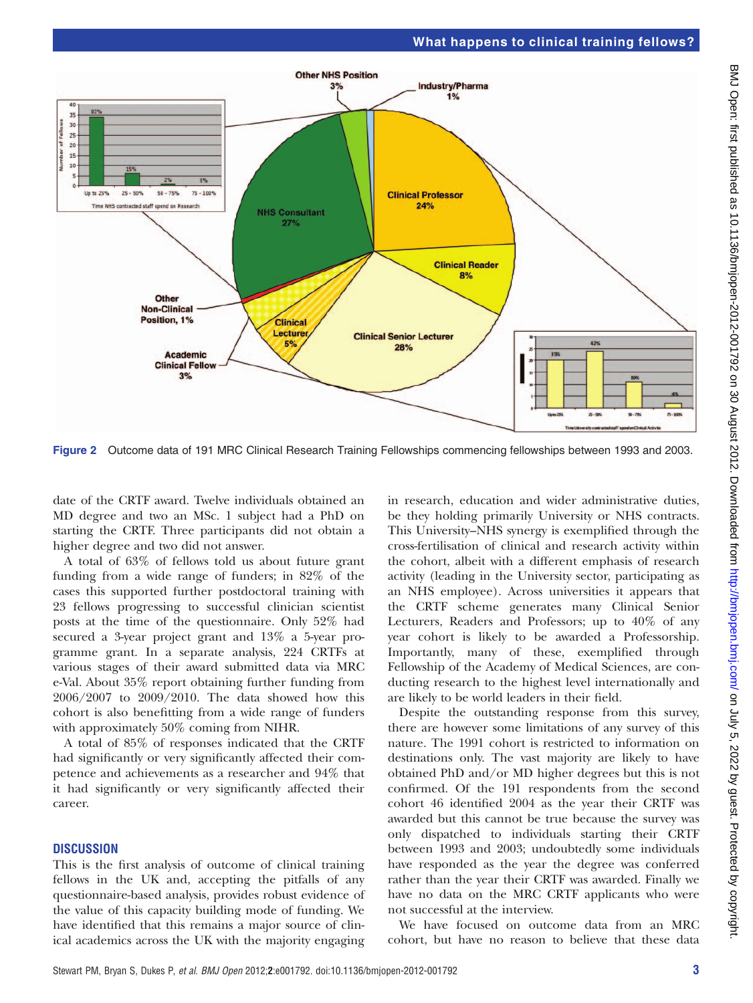# What happens to clinical training fellows?



Figure 2 Outcome data of 191 MRC Clinical Research Training Fellowships commencing fellowships between 1993 and 2003.

date of the CRTF award. Twelve individuals obtained an MD degree and two an MSc. 1 subject had a PhD on starting the CRTF. Three participants did not obtain a higher degree and two did not answer.

A total of 63% of fellows told us about future grant funding from a wide range of funders; in 82% of the cases this supported further postdoctoral training with 23 fellows progressing to successful clinician scientist posts at the time of the questionnaire. Only 52% had secured a 3-year project grant and 13% a 5-year programme grant. In a separate analysis, 224 CRTFs at various stages of their award submitted data via MRC e-Val. About 35% report obtaining further funding from 2006/2007 to 2009/2010. The data showed how this cohort is also benefitting from a wide range of funders with approximately 50% coming from NIHR.

A total of 85% of responses indicated that the CRTF had significantly or very significantly affected their competence and achievements as a researcher and 94% that it had significantly or very significantly affected their career.

## **DISCUSSION**

This is the first analysis of outcome of clinical training fellows in the UK and, accepting the pitfalls of any questionnaire-based analysis, provides robust evidence of the value of this capacity building mode of funding. We have identified that this remains a major source of clinical academics across the UK with the majority engaging in research, education and wider administrative duties, be they holding primarily University or NHS contracts. This University–NHS synergy is exemplified through the cross-fertilisation of clinical and research activity within the cohort, albeit with a different emphasis of research activity (leading in the University sector, participating as an NHS employee). Across universities it appears that the CRTF scheme generates many Clinical Senior Lecturers, Readers and Professors; up to 40% of any year cohort is likely to be awarded a Professorship. Importantly, many of these, exemplified through Fellowship of the Academy of Medical Sciences, are conducting research to the highest level internationally and are likely to be world leaders in their field.

Despite the outstanding response from this survey, there are however some limitations of any survey of this nature. The 1991 cohort is restricted to information on destinations only. The vast majority are likely to have obtained PhD and/or MD higher degrees but this is not confirmed. Of the 191 respondents from the second cohort 46 identified 2004 as the year their CRTF was awarded but this cannot be true because the survey was only dispatched to individuals starting their CRTF between 1993 and 2003; undoubtedly some individuals have responded as the year the degree was conferred rather than the year their CRTF was awarded. Finally we have no data on the MRC CRTF applicants who were not successful at the interview.

We have focused on outcome data from an MRC cohort, but have no reason to believe that these data